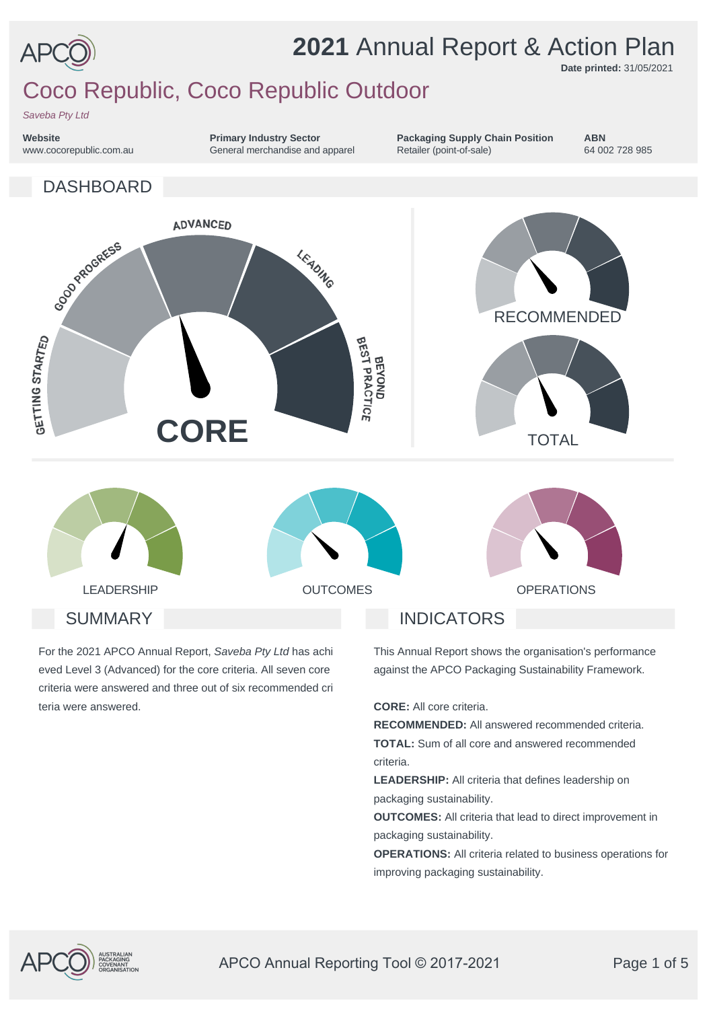

# **2021** Annual Report & Action Plan

**Date printed:** 31/05/2021

# Coco Republic, Coco Republic Outdoor

*Saveba Pty Ltd*

**Website** www.cocorepublic.com.au

DASHBOARD

**Primary Industry Sector** General merchandise and apparel **Packaging Supply Chain Position** Retailer (point-of-sale)

**ABN** 64 002 728 985



For the 2021 APCO Annual Report, *Saveba Pty Ltd* has achi eved Level 3 (Advanced) for the core criteria. All seven core criteria were answered and three out of six recommended cri teria were answered.

This Annual Report shows the organisation's performance against the APCO Packaging Sustainability Framework.

**CORE:** All core criteria.

**RECOMMENDED:** All answered recommended criteria. **TOTAL:** Sum of all core and answered recommended criteria.

**LEADERSHIP:** All criteria that defines leadership on packaging sustainability.

**OUTCOMES:** All criteria that lead to direct improvement in packaging sustainability.

**OPERATIONS:** All criteria related to business operations for improving packaging sustainability.

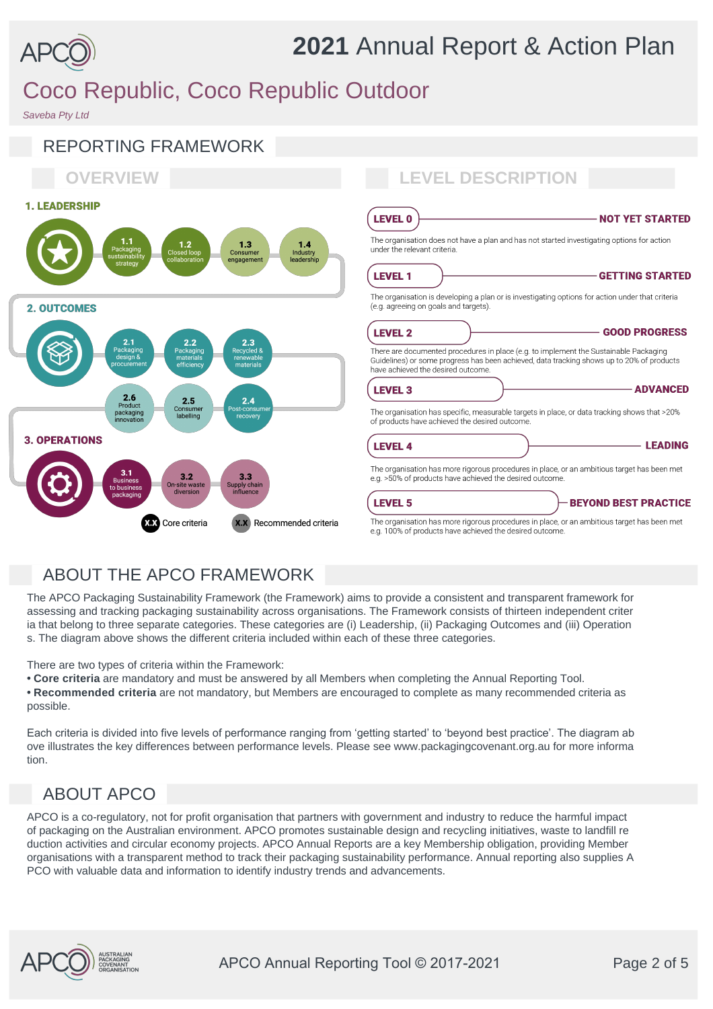

# Coco Republic, Coco Republic Outdoor

*Saveba Pty Ltd*



### ABOUT THE APCO FRAMEWORK

The APCO Packaging Sustainability Framework (the Framework) aims to provide a consistent and transparent framework for assessing and tracking packaging sustainability across organisations. The Framework consists of thirteen independent criter ia that belong to three separate categories. These categories are (i) Leadership, (ii) Packaging Outcomes and (iii) Operation s. The diagram above shows the different criteria included within each of these three categories.

There are two types of criteria within the Framework:

**• Core criteria** are mandatory and must be answered by all Members when completing the Annual Reporting Tool.

**• Recommended criteria** are not mandatory, but Members are encouraged to complete as many recommended criteria as possible.

Each criteria is divided into five levels of performance ranging from 'getting started' to 'beyond best practice'. The diagram ab ove illustrates the key differences between performance levels. Please see www.packagingcovenant.org.au for more informa tion.

## ABOUT APCO

APCO is a co-regulatory, not for profit organisation that partners with government and industry to reduce the harmful impact of packaging on the Australian environment. APCO promotes sustainable design and recycling initiatives, waste to landfill re duction activities and circular economy projects. APCO Annual Reports are a key Membership obligation, providing Member organisations with a transparent method to track their packaging sustainability performance. Annual reporting also supplies A PCO with valuable data and information to identify industry trends and advancements.

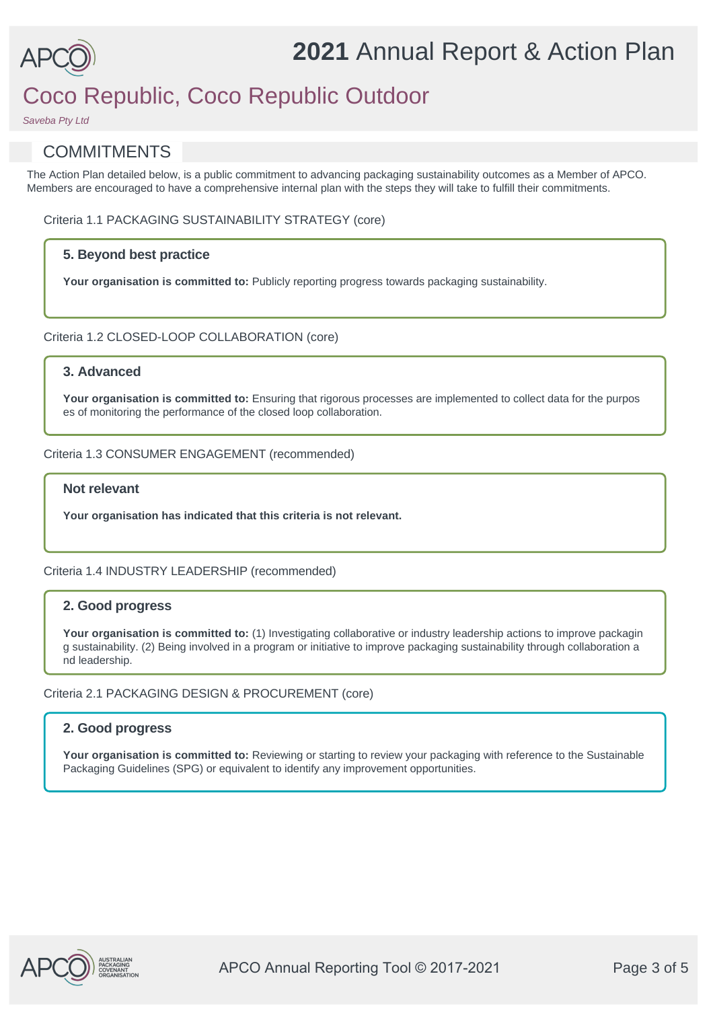

# **2021** Annual Report & Action Plan

# Coco Republic, Coco Republic Outdoor

*Saveba Pty Ltd*

### **COMMITMENTS**

The Action Plan detailed below, is a public commitment to advancing packaging sustainability outcomes as a Member of APCO. Members are encouraged to have a comprehensive internal plan with the steps they will take to fulfill their commitments.

Criteria 1.1 PACKAGING SUSTAINABILITY STRATEGY (core)

#### **5. Beyond best practice**

Your organisation is committed to: Publicly reporting progress towards packaging sustainability.

#### Criteria 1.2 CLOSED-LOOP COLLABORATION (core)

#### **3. Advanced**

**Your organisation is committed to:** Ensuring that rigorous processes are implemented to collect data for the purpos es of monitoring the performance of the closed loop collaboration.

#### Criteria 1.3 CONSUMER ENGAGEMENT (recommended)

#### **Not relevant**

**Your organisation has indicated that this criteria is not relevant.**

#### Criteria 1.4 INDUSTRY LEADERSHIP (recommended)

#### **2. Good progress**

Your organisation is committed to: (1) Investigating collaborative or industry leadership actions to improve packagin g sustainability. (2) Being involved in a program or initiative to improve packaging sustainability through collaboration a nd leadership.

#### Criteria 2.1 PACKAGING DESIGN & PROCUREMENT (core)

#### **2. Good progress**

Your organisation is committed to: Reviewing or starting to review your packaging with reference to the Sustainable Packaging Guidelines (SPG) or equivalent to identify any improvement opportunities.

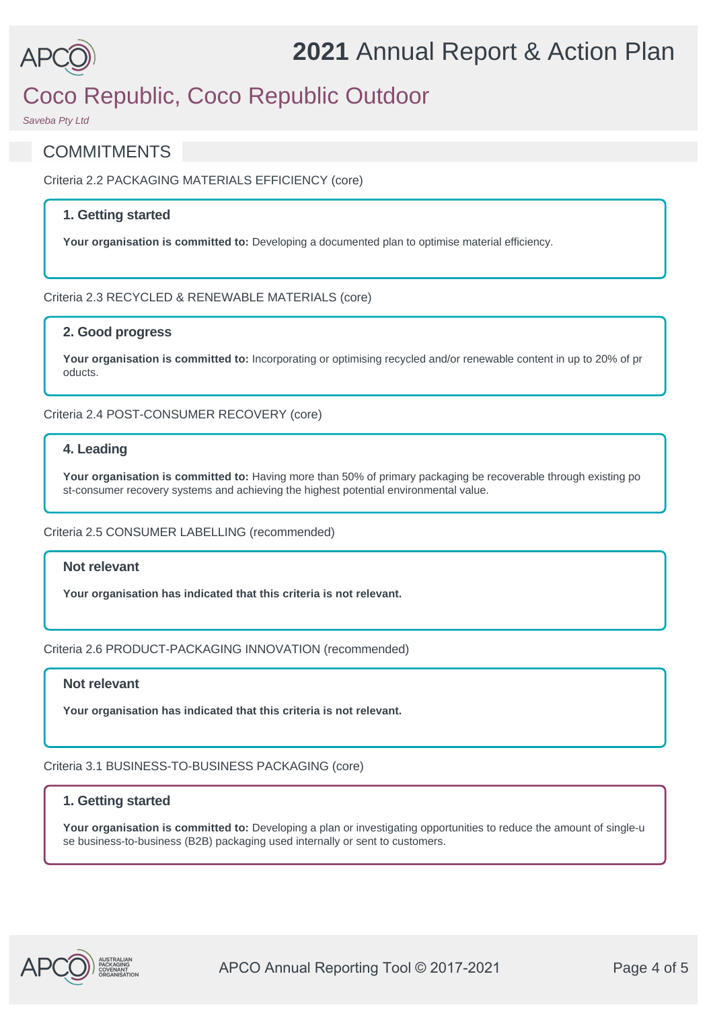

# Coco Republic, Coco Republic Outdoor

*Saveba Pty Ltd*

### **COMMITMENTS**

Criteria 2.2 PACKAGING MATERIALS EFFICIENCY (core)

#### **1. Getting started**

**Your organisation is committed to:** Developing a documented plan to optimise material efficiency.

#### Criteria 2.3 RECYCLED & RENEWABLE MATERIALS (core)

#### **2. Good progress**

**Your organisation is committed to:** Incorporating or optimising recycled and/or renewable content in up to 20% of pr oducts.

#### Criteria 2.4 POST-CONSUMER RECOVERY (core)

#### **4. Leading**

**Your organisation is committed to:** Having more than 50% of primary packaging be recoverable through existing po st-consumer recovery systems and achieving the highest potential environmental value.

#### Criteria 2.5 CONSUMER LABELLING (recommended)

#### **Not relevant**

**Your organisation has indicated that this criteria is not relevant.**

Criteria 2.6 PRODUCT-PACKAGING INNOVATION (recommended)

#### **Not relevant**

**Your organisation has indicated that this criteria is not relevant.**

Criteria 3.1 BUSINESS-TO-BUSINESS PACKAGING (core)

#### **1. Getting started**

**Your organisation is committed to:** Developing a plan or investigating opportunities to reduce the amount of single-u se business-to-business (B2B) packaging used internally or sent to customers.